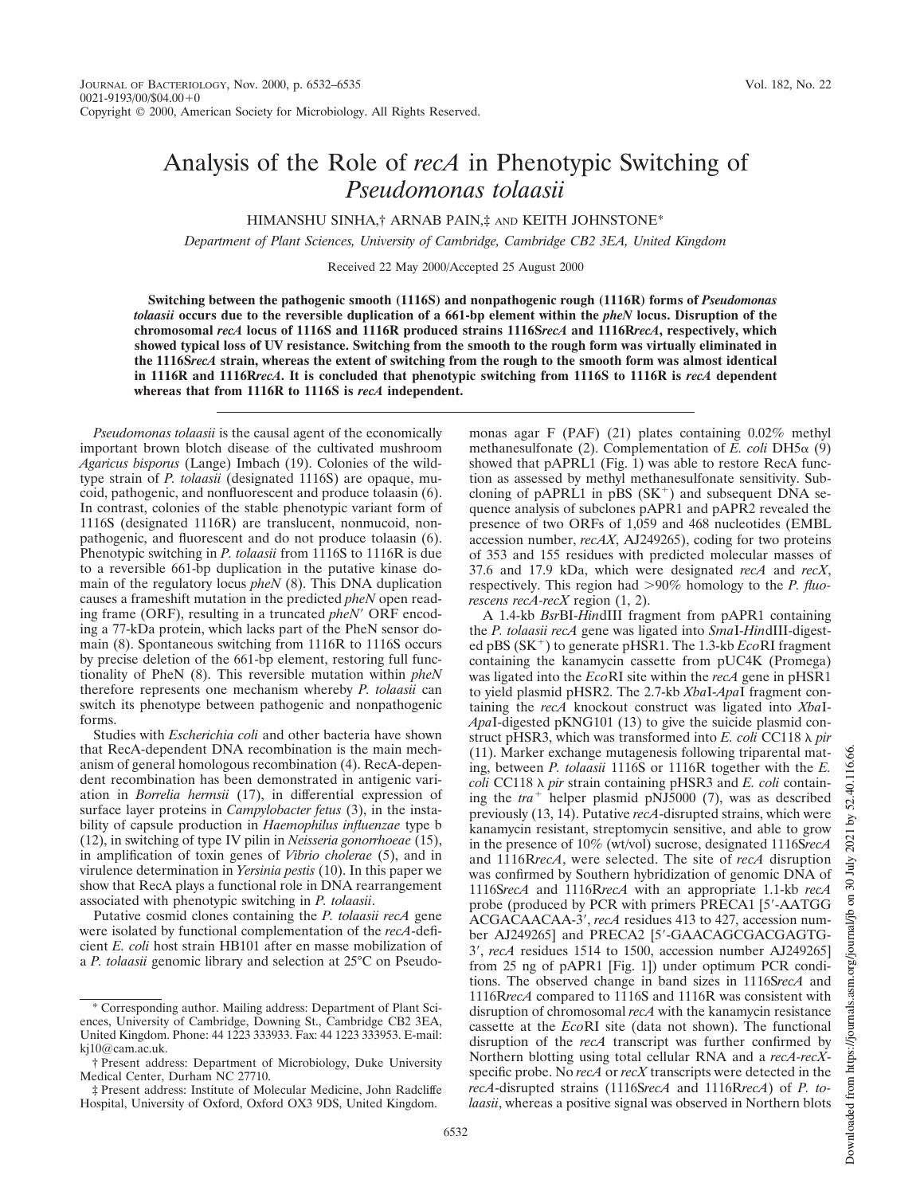## Analysis of the Role of *recA* in Phenotypic Switching of *Pseudomonas tolaasii*

HIMANSHU SINHA,† ARNAB PAIN,‡ AND KEITH JOHNSTONE\*

*Department of Plant Sciences, University of Cambridge, Cambridge CB2 3EA, United Kingdom*

Received 22 May 2000/Accepted 25 August 2000

**Switching between the pathogenic smooth (1116S) and nonpathogenic rough (1116R) forms of** *Pseudomonas tolaasii* **occurs due to the reversible duplication of a 661-bp element within the** *pheN* **locus. Disruption of the chromosomal** *recA* **locus of 1116S and 1116R produced strains 1116S***recA* **and 1116R***recA***, respectively, which showed typical loss of UV resistance. Switching from the smooth to the rough form was virtually eliminated in the 1116S***recA* **strain, whereas the extent of switching from the rough to the smooth form was almost identical in 1116R and 1116R***recA***. It is concluded that phenotypic switching from 1116S to 1116R is** *recA* **dependent whereas that from 1116R to 1116S is** *recA* **independent.**

*Pseudomonas tolaasii* is the causal agent of the economically important brown blotch disease of the cultivated mushroom *Agaricus bisporus* (Lange) Imbach (19). Colonies of the wildtype strain of *P. tolaasii* (designated 1116S) are opaque, mucoid, pathogenic, and nonfluorescent and produce tolaasin (6). In contrast, colonies of the stable phenotypic variant form of 1116S (designated 1116R) are translucent, nonmucoid, nonpathogenic, and fluorescent and do not produce tolaasin (6). Phenotypic switching in *P. tolaasii* from 1116S to 1116R is due to a reversible 661-bp duplication in the putative kinase domain of the regulatory locus *pheN* (8). This DNA duplication causes a frameshift mutation in the predicted *pheN* open reading frame (ORF), resulting in a truncated *pheN'* ORF encoding a 77-kDa protein, which lacks part of the PheN sensor domain (8). Spontaneous switching from 1116R to 1116S occurs by precise deletion of the 661-bp element, restoring full functionality of PheN (8). This reversible mutation within *pheN* therefore represents one mechanism whereby *P. tolaasii* can switch its phenotype between pathogenic and nonpathogenic forms.

Studies with *Escherichia coli* and other bacteria have shown that RecA-dependent DNA recombination is the main mechanism of general homologous recombination (4). RecA-dependent recombination has been demonstrated in antigenic variation in *Borrelia hermsii* (17), in differential expression of surface layer proteins in *Campylobacter fetus* (3), in the instability of capsule production in *Haemophilus influenzae* type b (12), in switching of type IV pilin in *Neisseria gonorrhoeae* (15), in amplification of toxin genes of *Vibrio cholerae* (5), and in virulence determination in *Yersinia pestis* (10). In this paper we show that RecA plays a functional role in DNA rearrangement associated with phenotypic switching in *P. tolaasii*.

Putative cosmid clones containing the *P. tolaasii recA* gene were isolated by functional complementation of the *recA*-deficient *E. coli* host strain HB101 after en masse mobilization of a *P. tolaasii* genomic library and selection at 25°C on Pseudomonas agar F (PAF) (21) plates containing 0.02% methyl methanesulfonate (2). Complementation of  $\overline{E}$ . *coli* DH5 $\alpha$  (9) showed that pAPRL1 (Fig. 1) was able to restore RecA function as assessed by methyl methanesulfonate sensitivity. Subcloning of pAPRL1 in pBS  $(SK^+)$  and subsequent DNA sequence analysis of subclones pAPR1 and pAPR2 revealed the presence of two ORFs of 1,059 and 468 nucleotides (EMBL accession number, *recAX*, AJ249265), coding for two proteins of 353 and 155 residues with predicted molecular masses of 37.6 and 17.9 kDa, which were designated *recA* and *recX*, respectively. This region had  $>90\%$  homology to the *P. fluorescens recA-recX* region (1, 2).

A 1.4-kb *Bsr*BI-*Hin*dIII fragment from pAPR1 containing the *P. tolaasii recA* gene was ligated into *Sma*I-*Hin*dIII-digested pBS (SK<sup>+</sup>) to generate pHSR1. The 1.3-kb *Eco*RI fragment containing the kanamycin cassette from pUC4K (Promega) was ligated into the *Eco*RI site within the *recA* gene in pHSR1 to yield plasmid pHSR2. The 2.7-kb *Xba*I-*Apa*I fragment containing the *recA* knockout construct was ligated into *Xba*I-*Apa*I-digested pKNG101 (13) to give the suicide plasmid construct pHSR3, which was transformed into *E. coli* CC118  $\lambda$  *pir* (11). Marker exchange mutagenesis following triparental mating, between *P. tolaasii* 1116S or 1116R together with the *E. coli* CC118  $\lambda$  *pir* strain containing pHSR3 and *E. coli* containing the  $tra^+$  helper plasmid pNJ5000 (7), was as described previously (13, 14). Putative *recA*-disrupted strains, which were kanamycin resistant, streptomycin sensitive, and able to grow in the presence of 10% (wt/vol) sucrose, designated 1116S*recA* and 1116R*recA*, were selected. The site of *recA* disruption was confirmed by Southern hybridization of genomic DNA of 1116S*recA* and 1116R*recA* with an appropriate 1.1-kb *recA* probe (produced by PCR with primers PRECA1 [5'-AATGG] ACGACAACAA-3', recA residues 413 to 427, accession number AJ249265] and PRECA2 [5'-GAACAGCGACGAGTG-3', *recA* residues 1514 to 1500, accession number AJ249265] from 25 ng of pAPR1 [Fig. 1]) under optimum PCR conditions. The observed change in band sizes in 1116S*recA* and 1116R*recA* compared to 1116S and 1116R was consistent with disruption of chromosomal *recA* with the kanamycin resistance cassette at the *Eco*RI site (data not shown). The functional disruption of the *recA* transcript was further confirmed by Northern blotting using total cellular RNA and a *recA-recX*specific probe. No *recA* or *recX* transcripts were detected in the *recA*-disrupted strains (1116S*recA* and 1116R*recA*) of *P. tolaasii*, whereas a positive signal was observed in Northern blots

<sup>\*</sup> Corresponding author. Mailing address: Department of Plant Sciences, University of Cambridge, Downing St., Cambridge CB2 3EA, United Kingdom. Phone: 44 1223 333933. Fax: 44 1223 333953. E-mail: kj10@cam.ac.uk.

<sup>†</sup> Present address: Department of Microbiology, Duke University Medical Center, Durham NC 27710.

<sup>‡</sup> Present address: Institute of Molecular Medicine, John Radcliffe Hospital, University of Oxford, Oxford OX3 9DS, United Kingdom.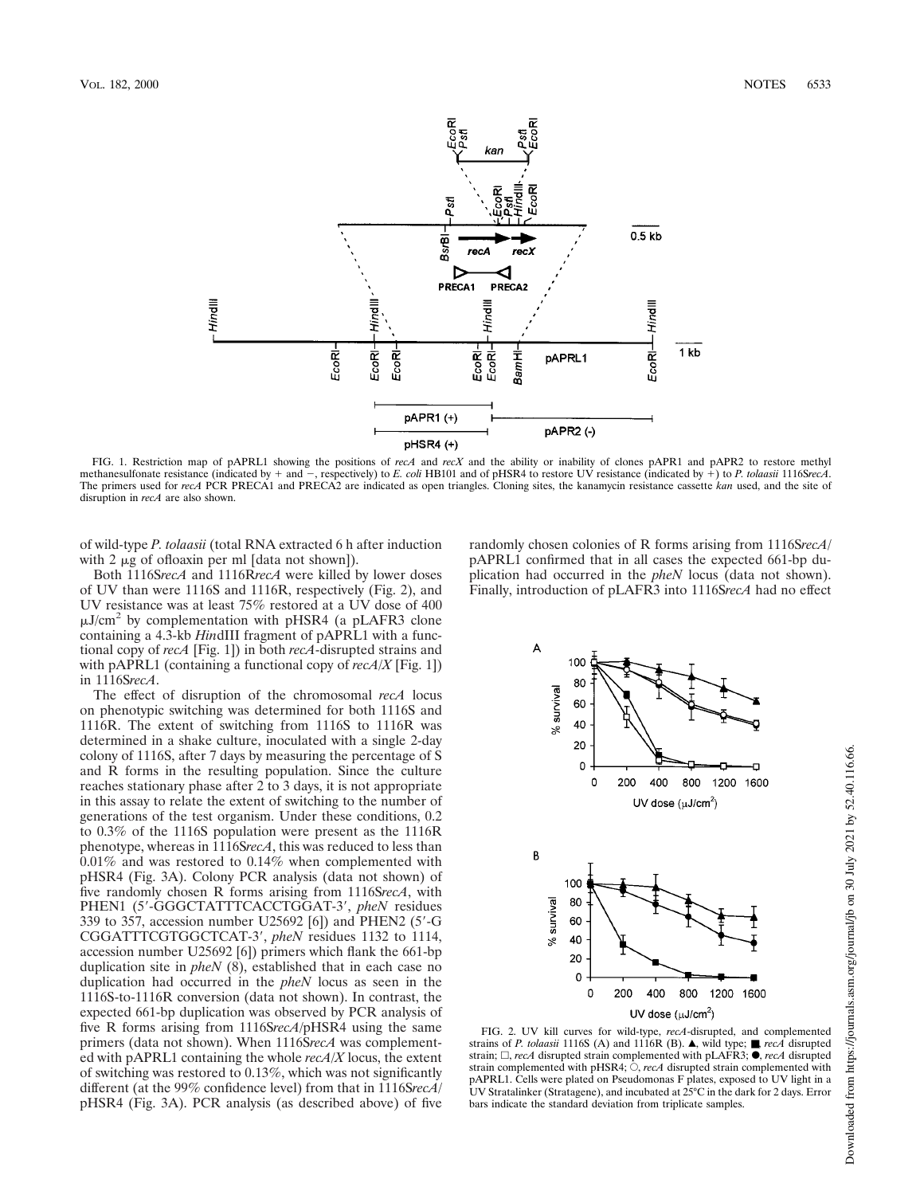

FIG. 1. Restriction map of pAPRL1 showing the positions of *recA* and *recX* and the ability or inability of clones pAPR1 and pAPR2 to restore methyl methanesulfonate resistance (indicated by + and -, respectively) to *E. coli* HB101 and of pHSR4 to restore UV resistance (indicated by +) to *P. tolaasii* 1116SrecA. The primers used for *recA* PCR PRECA1 and PRECA2 are indicated as open triangles. Cloning sites, the kanamycin resistance cassette *kan* used, and the site of disruption in *recA* are also shown.

of wild-type *P. tolaasii* (total RNA extracted 6 h after induction with 2  $\mu$ g of ofloaxin per ml [data not shown]).

Both 1116S*recA* and 1116R*recA* were killed by lower doses of UV than were 1116S and 1116R, respectively (Fig. 2), and UV resistance was at least 75% restored at a UV dose of 400  $\mu$ J/cm<sup>2</sup> by complementation with pHSR4 (a pLAFR3 clone containing a 4.3-kb *Hin*dIII fragment of pAPRL1 with a functional copy of *recA* [Fig. 1]) in both *recA*-disrupted strains and with pAPRL1 (containing a functional copy of *recA/X* [Fig. 1]) in 1116S*recA*.

The effect of disruption of the chromosomal *recA* locus on phenotypic switching was determined for both 1116S and 1116R. The extent of switching from 1116S to 1116R was determined in a shake culture, inoculated with a single 2-day colony of 1116S, after 7 days by measuring the percentage of S and R forms in the resulting population. Since the culture reaches stationary phase after 2 to 3 days, it is not appropriate in this assay to relate the extent of switching to the number of generations of the test organism. Under these conditions, 0.2 to 0.3% of the 1116S population were present as the 1116R phenotype, whereas in 1116S*recA*, this was reduced to less than 0.01% and was restored to 0.14% when complemented with pHSR4 (Fig. 3A). Colony PCR analysis (data not shown) of five randomly chosen R forms arising from 1116S*recA*, with PHEN1 (5'-GGGCTATTTCACCTGGAT-3', *pheN* residues 339 to 357, accession number U25692 [6]) and PHEN2 (5'-G CGGATTTCGTGGCTCAT-3', *pheN* residues 1132 to 1114, accession number U25692 [6]) primers which flank the 661-bp duplication site in *pheN* (8), established that in each case no duplication had occurred in the *pheN* locus as seen in the 1116S-to-1116R conversion (data not shown). In contrast, the expected 661-bp duplication was observed by PCR analysis of five R forms arising from 1116S*recA*/pHSR4 using the same primers (data not shown). When 1116S*recA* was complemented with pAPRL1 containing the whole *recA/X* locus, the extent of switching was restored to  $0.13\%$ , which was not significantly different (at the 99% confidence level) from that in 1116S*recA*/ pHSR4 (Fig. 3A). PCR analysis (as described above) of five randomly chosen colonies of R forms arising from 1116S*recA*/ pAPRL1 confirmed that in all cases the expected 661-bp duplication had occurred in the *pheN* locus (data not shown). Finally, introduction of pLAFR3 into 1116S*recA* had no effect



FIG. 2. UV kill curves for wild-type, *recA*-disrupted, and complemented strains of *P. tolaasii* 1116S (A) and 1116R (B). ▲, wild type; ■, *recA* disrupted strain;  $\Box$ , *recA* disrupted strain complemented with pLAFR3;  $\bullet$ , *recA* disrupted strain complemented with pHSR4;  $\hat{\bigcirc}$ , *recA* disrupted strain complemented with pAPRL1. Cells were plated on Pseudomonas F plates, exposed to UV light in a UV Stratalinker (Stratagene), and incubated at 25°C in the dark for 2 days. Error bars indicate the standard deviation from triplicate samples.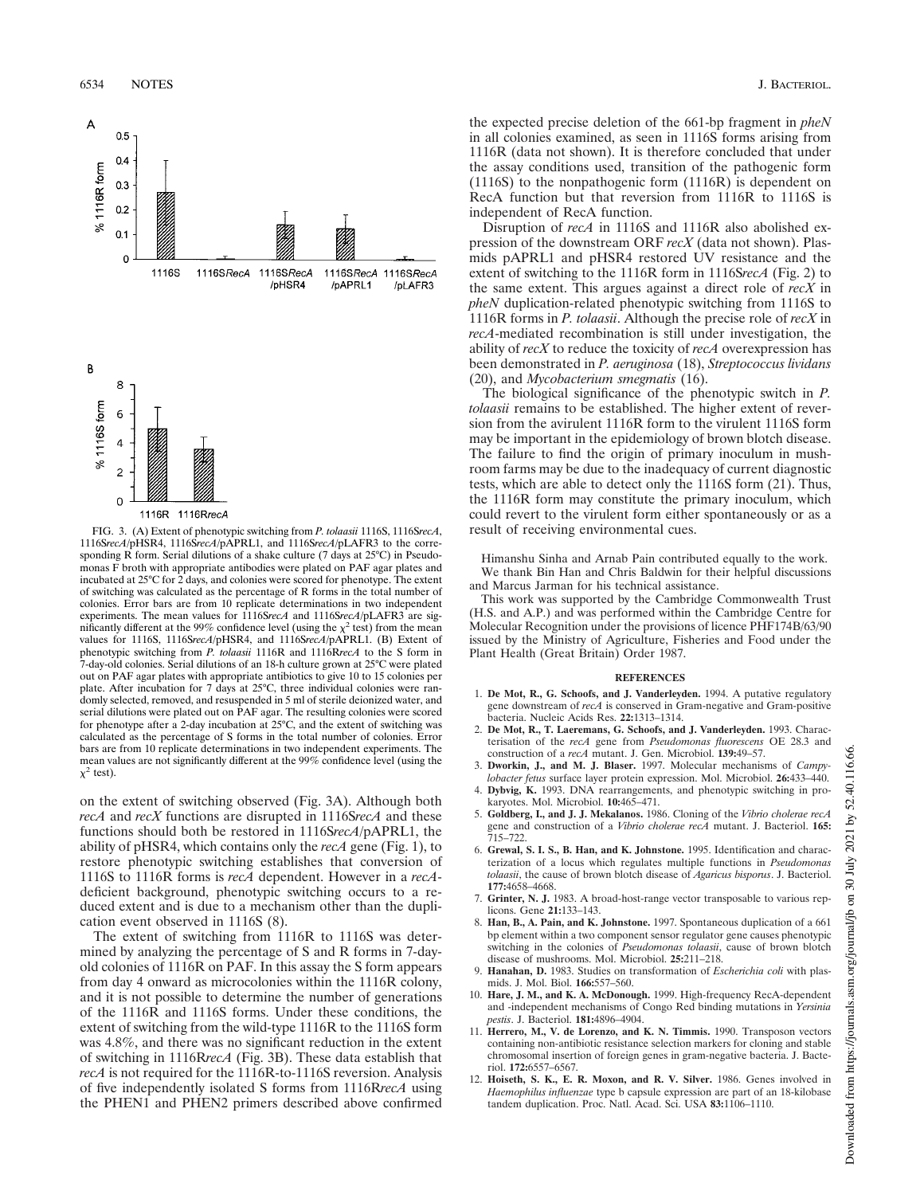

1116R 1116Rrec/

FIG. 3. (A) Extent of phenotypic switching from *P. tolaasii* 1116S, 1116S*recA*, 1116S*recA*/pHSR4, 1116S*recA*/pAPRL1, and 1116S*recA*/pLAFR3 to the corresponding R form. Serial dilutions of a shake culture (7 days at  $25^{\circ}$ C) in Pseudomonas F broth with appropriate antibodies were plated on PAF agar plates and incubated at 25°C for 2 days, and colonies were scored for phenotype. The extent of switching was calculated as the percentage of R forms in the total number of colonies. Error bars are from 10 replicate determinations in two independent experiments. The mean values for 1116S*recA* and 1116S*recA*/pLAFR3 are significantly different at the 99% confidence level (using the  $\chi^2$  test) from the mean values for 1116S, 1116S*recA*/pHSR4, and 1116S*recA*/pAPRL1. (B) Extent of phenotypic switching from *P. tolaasii* 1116R and 1116R*recA* to the S form in 7-day-old colonies. Serial dilutions of an 18-h culture grown at 25°C were plated out on PAF agar plates with appropriate antibiotics to give 10 to 15 colonies per plate. After incubation for 7 days at 25°C, three individual colonies were randomly selected, removed, and resuspended in 5 ml of sterile deionized water, and serial dilutions were plated out on PAF agar. The resulting colonies were scored for phenotype after a 2-day incubation at 25°C, and the extent of switching was calculated as the percentage of S forms in the total number of colonies. Error bars are from 10 replicate determinations in two independent experiments. The mean values are not significantly different at the 99% confidence level (using the  $\chi^2$  test).

on the extent of switching observed (Fig. 3A). Although both *recA* and *recX* functions are disrupted in 1116S*recA* and these functions should both be restored in 1116S*recA*/pAPRL1, the ability of pHSR4, which contains only the *recA* gene (Fig. 1), to restore phenotypic switching establishes that conversion of 1116S to 1116R forms is *recA* dependent. However in a *recA*deficient background, phenotypic switching occurs to a reduced extent and is due to a mechanism other than the duplication event observed in 1116S (8).

The extent of switching from 1116R to 1116S was determined by analyzing the percentage of S and R forms in 7-dayold colonies of 1116R on PAF. In this assay the S form appears from day 4 onward as microcolonies within the 1116R colony, and it is not possible to determine the number of generations of the 1116R and 1116S forms. Under these conditions, the extent of switching from the wild-type 1116R to the 1116S form was 4.8%, and there was no significant reduction in the extent of switching in 1116R*recA* (Fig. 3B). These data establish that *recA* is not required for the 1116R-to-1116S reversion. Analysis of five independently isolated S forms from 1116R*recA* using the PHEN1 and PHEN2 primers described above confirmed

the expected precise deletion of the 661-bp fragment in *pheN* in all colonies examined, as seen in 1116S forms arising from 1116R (data not shown). It is therefore concluded that under the assay conditions used, transition of the pathogenic form (1116S) to the nonpathogenic form (1116R) is dependent on RecA function but that reversion from 1116R to 1116S is independent of RecA function.

Disruption of *recA* in 1116S and 1116R also abolished expression of the downstream ORF *recX* (data not shown). Plasmids pAPRL1 and pHSR4 restored UV resistance and the extent of switching to the 1116R form in 1116S*recA* (Fig. 2) to the same extent. This argues against a direct role of *recX* in *pheN* duplication-related phenotypic switching from 1116S to 1116R forms in *P. tolaasii*. Although the precise role of *recX* in *recA*-mediated recombination is still under investigation, the ability of *recX* to reduce the toxicity of *recA* overexpression has been demonstrated in *P. aeruginosa* (18), *Streptococcus lividans* (20), and *Mycobacterium smegmatis* (16).

The biological significance of the phenotypic switch in *P. tolaasii* remains to be established. The higher extent of reversion from the avirulent 1116R form to the virulent 1116S form may be important in the epidemiology of brown blotch disease. The failure to find the origin of primary inoculum in mushroom farms may be due to the inadequacy of current diagnostic tests, which are able to detect only the 1116S form (21). Thus, the 1116R form may constitute the primary inoculum, which could revert to the virulent form either spontaneously or as a result of receiving environmental cues.

Himanshu Sinha and Arnab Pain contributed equally to the work. We thank Bin Han and Chris Baldwin for their helpful discussions and Marcus Jarman for his technical assistance.

This work was supported by the Cambridge Commonwealth Trust (H.S. and A.P.) and was performed within the Cambridge Centre for Molecular Recognition under the provisions of licence PHF174B/63/90 issued by the Ministry of Agriculture, Fisheries and Food under the Plant Health (Great Britain) Order 1987.

## **REFERENCES**

- 1. **De Mot, R., G. Schoofs, and J. Vanderleyden.** 1994. A putative regulatory gene downstream of *recA* is conserved in Gram-negative and Gram-positive bacteria. Nucleic Acids Res. **22:**1313–1314.
- 2. **De Mot, R., T. Laeremans, G. Schoofs, and J. Vanderleyden.** 1993. Characterisation of the *recA* gene from *Pseudomonas fluorescens* OE 28.3 and construction of a *recA* mutant. J. Gen. Microbiol. **139:**49–57.
- 3. **Dworkin, J., and M. J. Blaser.** 1997. Molecular mechanisms of *Campylobacter fetus* surface layer protein expression. Mol. Microbiol. **26:**433–440.
- 4. **Dybvig, K.** 1993. DNA rearrangements, and phenotypic switching in prokaryotes. Mol. Microbiol. **10:**465–471.
- 5. **Goldberg, I., and J. J. Mekalanos.** 1986. Cloning of the *Vibrio cholerae recA* gene and construction of a *Vibrio cholerae recA* mutant. J. Bacteriol. **165:** 715–722.
- 6. **Grewal, S. I. S., B. Han, and K. Johnstone.** 1995. Identification and characterization of a locus which regulates multiple functions in *Pseudomonas tolaasii*, the cause of brown blotch disease of *Agaricus bisporus*. J. Bacteriol. **177:**4658–4668.
- 7. **Grinter, N. J.** 1983. A broad-host-range vector transposable to various replicons. Gene **21:**133–143.
- 8. **Han, B., A. Pain, and K. Johnstone.** 1997. Spontaneous duplication of a 661 bp element within a two component sensor regulator gene causes phenotypic switching in the colonies of *Pseudomonas tolaasii*, cause of brown blotch disease of mushrooms. Mol. Microbiol. **25:**211–218.
- 9. **Hanahan, D.** 1983. Studies on transformation of *Escherichia coli* with plasmids. J. Mol. Biol. **166:**557–560.
- 10. **Hare, J. M., and K. A. McDonough.** 1999. High-frequency RecA-dependent and -independent mechanisms of Congo Red binding mutations in *Yersinia pestis*. J. Bacteriol. **181:**4896–4904.
- 11. **Herrero, M., V. de Lorenzo, and K. N. Timmis.** 1990. Transposon vectors containing non-antibiotic resistance selection markers for cloning and stable chromosomal insertion of foreign genes in gram-negative bacteria. J. Bacteriol. **172:**6557–6567.
- 12. **Hoiseth, S. K., E. R. Moxon, and R. V. Silver.** 1986. Genes involved in *Haemophilus influenzae* type b capsule expression are part of an 18-kilobase tandem duplication. Proc. Natl. Acad. Sci. USA **83:**1106–1110.